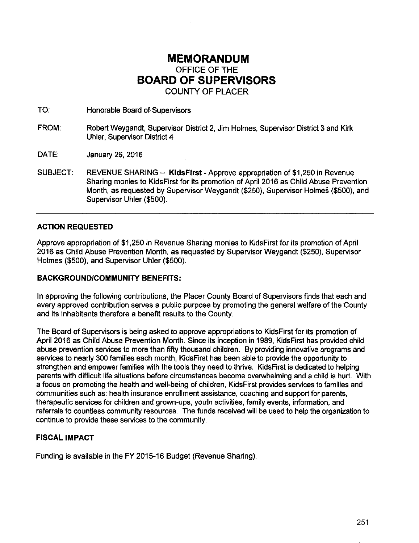# **MEMORANDUM**  OFFICE OF THE **BOARD OF SUPERVISORS**  COUNTY OF PLACER

TO: Honorable Board of. Supervisors

FROM: Robert Weygandt, Supervisor District 2, Jim Holmes, Supervisor District 3 and Kirk Uhler, Supervisor District 4

DATE: January 26, 2016

SUBJECT: REVENUE SHARING- **KidsFirst-** Approve appropriation of \$1,250 in Revenue Sharing monies to KidsFirst for its promotion of April 2016 as Child Abuse Prevention Month, as requested by Supervisor Weygandt (\$250), Supervisor Holmes (\$500), and Supervisor Uhler (\$500).

### **ACTION REQUESTED**

Approve appropriation of \$1,250 in Revenue Sharing monies to KidsFirst for its promotion of April 2016 as Child Abuse Prevention Month, as requested by Supervisor Weygandt (\$250), Supervisor Holmes (\$500), and Supervisor Uhler (\$500).

#### **BACKGROUND/COMMUNITY BENEFITS:**

In approving the following contributions, the Placer County Board of Supervisors finds that each and every approved contribution serves a public purpose by promoting the general welfare of the County and its inhabitants therefore a benefit results to the County.

The Board of Supervisors is being asked to approve appropriations to KidsFirst for its promotion of April2016 as Child Abuse Prevention Month. Since its inception in 1989, KidsFirst has provided child abuse prevention services to more than fifty thousand children. By providing innovative programs and services to nearly 300 families each month, KidsFirst has been able to provide the opportunity to strengthen and empower families with the tools they need to thrive. KidsFirst is dedicated to helping parents with difficult life situations before circumstances become overwhelming and a child is hurt. With a focus on promoting the health and well-being of children, KidsFirst provides services to families and communities such as: health insurance enrollment assistance, coaching and support for parents, therapeutic services for children and grown-ups, youth activities, family events, information, and referrals to countless community resources. The funds received will be used to help the organization to continue to provide these services to the community.

#### **FISCAL IMPACT**

Funding is available in the FY 2015-16 Budget (Revenue Sharing).